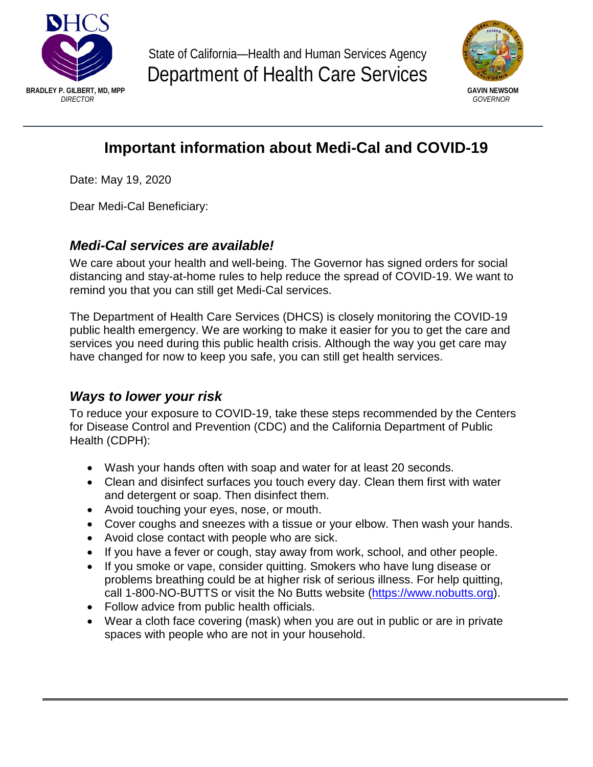

State of California—Health and Human Services Agency Department of Health Care Services



# **Important information about Medi-Cal and COVID-19**

Date: May 19, 2020

Dear Medi-Cal Beneficiary:

# *Medi-Cal services are available!*

We care about your health and well-being. The Governor has signed orders for social distancing and stay-at-home rules to help reduce the spread of COVID-19. We want to remind you that you can still get Medi-Cal services.

The Department of Health Care Services (DHCS) is closely monitoring the COVID-19 public health emergency. We are working to make it easier for you to get the care and services you need during this public health crisis. Although the way you get care may have changed for now to keep you safe, you can still get health services.

# *Ways to lower your risk*

To reduce your exposure to COVID-19, take these steps recommended by the Centers for Disease Control and Prevention (CDC) and the California Department of Public Health (CDPH):

- Wash your hands often with soap and water for at least 20 seconds.
- Clean and disinfect surfaces you touch every day. Clean them first with water and detergent or soap. Then disinfect them.
- Avoid touching your eyes, nose, or mouth.
- Cover coughs and sneezes with a tissue or your elbow. Then wash your hands.
- Avoid close contact with people who are sick.
- If you have a fever or cough, stay away from work, school, and other people.
- If you smoke or vape, consider quitting. Smokers who have lung disease or problems breathing could be at higher risk of serious illness. For help quitting, call 1-800-NO-BUTTS or visit the No Butts website [\(https://www.nobutts.org\).](https://www.nobutts.org/)
- Follow advice from public health officials.
- Wear a cloth face covering (mask) when you are out in public or are in private spaces with people who are not in your household.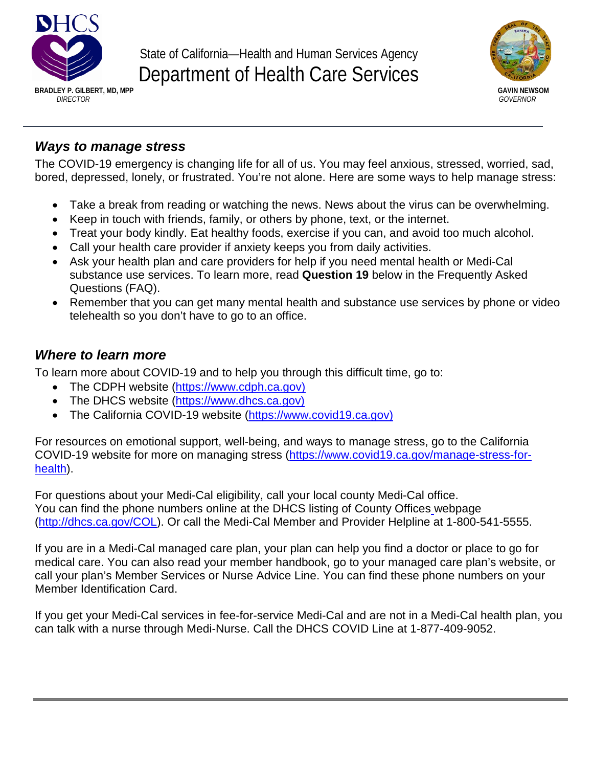

State of California—Health and Human Services Agency Department of Health Care Services



### *Ways to manage stress*

The COVID-19 emergency is changing life for all of us. You may feel anxious, stressed, worried, sad, bored, depressed, lonely, or frustrated. You're not alone. Here are some ways to help manage stress:

- Take a break from reading or watching the news. News about the virus can be overwhelming.
- Keep in touch with friends, family, or others by phone, text, or the internet.
- Treat your body kindly. Eat healthy foods, exercise if you can, and avoid too much alcohol.
- Call your health care provider if anxiety keeps you from daily activities.
- Ask your health plan and care providers for help if you need mental health or Medi-Cal substance use services. To learn more, read **Question 19** below in the Frequently Asked Questions (FAQ).
- Remember that you can get many mental health and substance use services by phone or video telehealth so you don't have to go to an office.

## *Where to learn more*

To learn more about COVID-19 and to help you through this difficult time, go to:

- The CDPH website [\(https://www.cdph.ca.gov\)](https://www.cdph.ca.gov/)
- The DHCS website [\(https://www.dhcs.ca.gov\)](https://www.dhcs.ca.gov/)
- The California COVID-19 website [\(https://www.covid19.ca.gov](https://covid19.ca.gov/))

For resources on emotional support, well-being, and ways to manage stress, go to the California COVID-19 website for more on managing stress [\(https://www.covid19.ca.gov/manage-stress-for](https://covid19.ca.gov/manage-stress-for-health/)health).

For questions about your Medi-Cal eligibility, call your local county Medi-Cal office. You can find the phone numbers online at the DHCS listing of County Offices webpage [\(http://dhcs.ca.gov/COL\).](http://dhcs.ca.gov/COL) Or call the Medi-Cal Member and Provider Helpline at 1-800-541-5555.

If you are in a Medi-Cal managed care plan, your plan can help you find a doctor or place to go for medical care. You can also read your member handbook, go to your managed care plan's website, or call your plan's Member Services or Nurse Advice Line. You can find these phone numbers on your Member Identification Card.

If you get your Medi-Cal services in fee-for-service Medi-Cal and are not in a Medi-Cal health plan, you can talk with a nurse through Medi-Nurse. Call the DHCS COVID Line at 1-877-409-9052.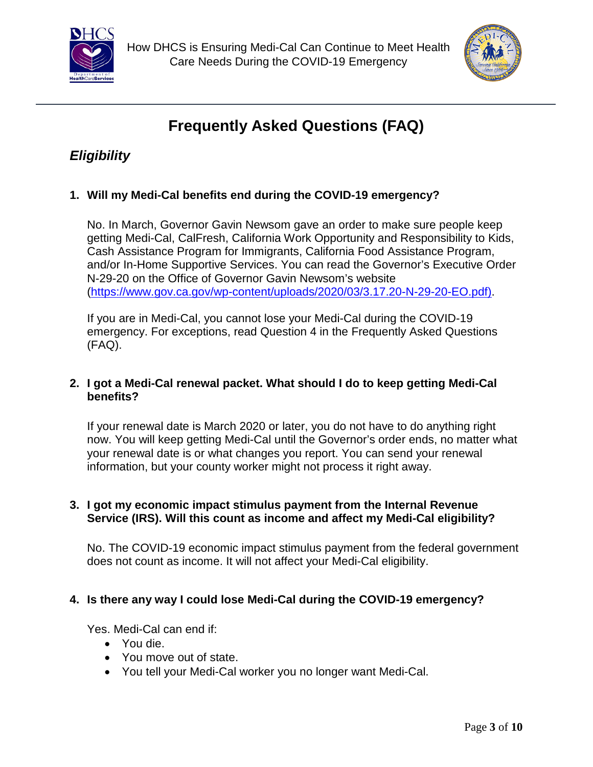



# **Frequently Asked Questions (FAQ)**

# *Eligibility*

#### **1. Will my Medi-Cal benefits end during the COVID-19 emergency?**

No. In March, Governor Gavin Newsom gave an order to make sure people keep getting Medi-Cal, CalFresh, California Work Opportunity and Responsibility to Kids, Cash Assistance Program for Immigrants, California Food Assistance Program, and/or In-Home Supportive Services. You can read the Governor's Executive Order N-29-20 on the Office of Governor Gavin Newsom's website [\(https://www.gov.ca.gov/wp-content/uploads/2020/03/3.17.20-N-29-20-EO.pdf\).](https://www.gov.ca.gov/wp-content/uploads/2020/03/3.17.20-N-29-20-EO.pdf)

If you are in Medi-Cal, you cannot lose your Medi-Cal during the COVID-19 emergency. For exceptions, read Question 4 in the Frequently Asked Questions (FAQ).

#### **2. I got a Medi-Cal renewal packet. What should I do to keep getting Medi-Cal benefits?**

If your renewal date is March 2020 or later, you do not have to do anything right now. You will keep getting Medi-Cal until the Governor's order ends, no matter what your renewal date is or what changes you report. You can send your renewal information, but your county worker might not process it right away.

#### **3. I got my economic impact stimulus payment from the Internal Revenue Service (IRS). Will this count as income and affect my Medi-Cal eligibility?**

No. The COVID-19 economic impact stimulus payment from the federal government does not count as income. It will not affect your Medi-Cal eligibility.

#### **4. Is there any way I could lose Medi-Cal during the COVID-19 emergency?**

Yes. Medi-Cal can end if:

- You die.
- You move out of state.
- You tell your Medi-Cal worker you no longer want Medi-Cal.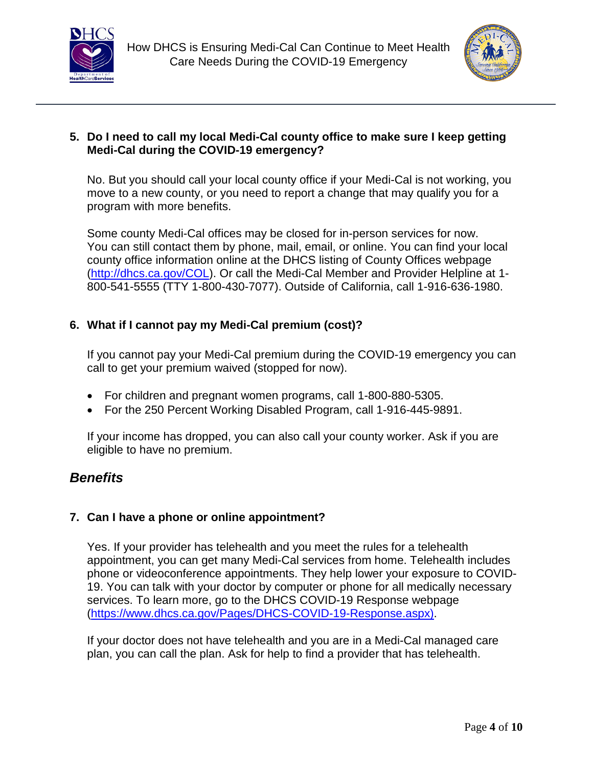



#### **5. Do I need to call my local Medi-Cal county office to make sure I keep getting Medi-Cal during the COVID-19 emergency?**

No. But you should call your local county office if your Medi-Cal is not working, you move to a new county, or you need to report a change that may qualify you for a program with more benefits.

Some county Medi-Cal offices may be closed for in-person services for now. You can still contact them by phone, mail, email, or online. You can find your local county office information online at the DHCS listing of County Offices webpage [\(http://dhcs.ca.gov/COL\).](http://dhcs.ca.gov/COL) Or call the Medi-Cal Member and Provider Helpline at 1- 800-541-5555 (TTY 1-800-430-7077). Outside of California, call 1-916-636-1980.

#### **6. What if I cannot pay my Medi-Cal premium (cost)?**

If you cannot pay your Medi-Cal premium during the COVID-19 emergency you can call to get your premium waived (stopped for now).

- For children and pregnant women programs, call 1-800-880-5305.
- For the 250 Percent Working Disabled Program, call 1-916-445-9891.

If your income has dropped, you can also call your county worker. Ask if you are eligible to have no premium.

### *Benefits*

#### **7. Can I have a phone or online appointment?**

Yes. If your provider has telehealth and you meet the rules for a telehealth appointment, you can get many Medi-Cal services from home. Telehealth includes phone or videoconference appointments. They help lower your exposure to COVID-19. You can talk with your doctor by computer or phone for all medically necessary services. To learn more, go to the DHCS COVID-19 Response webpage [\(https://www.dhcs.ca.gov/Pages/DHCS-COVID-19-Response.aspx\)](https://www.dhcs.ca.gov/Pages/DHCS-COVID-19-Response.aspx).

If your doctor does not have telehealth and you are in a Medi-Cal managed care plan, you can call the plan. Ask for help to find a provider that has telehealth.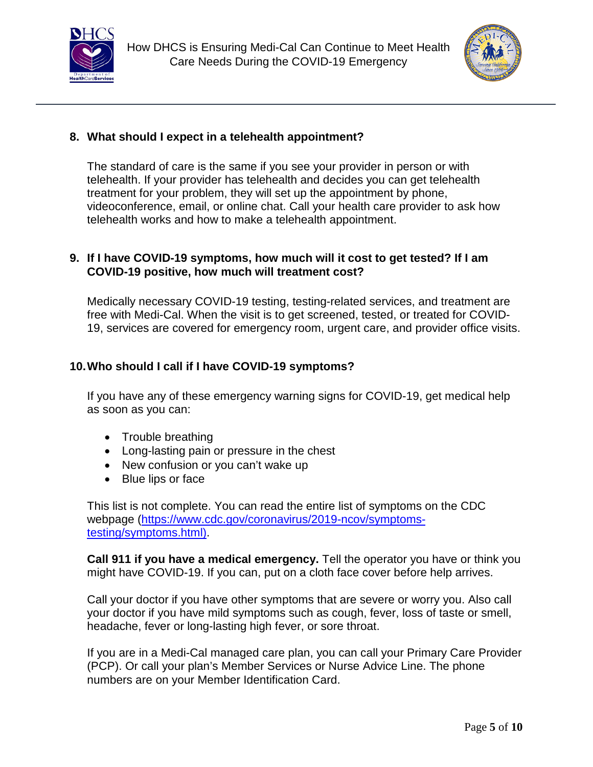



#### **8. What should I expect in a telehealth appointment?**

The standard of care is the same if you see your provider in person or with telehealth. If your provider has telehealth and decides you can get telehealth treatment for your problem, they will set up the appointment by phone, videoconference, email, or online chat. Call your health care provider to ask how telehealth works and how to make a telehealth appointment.

#### **9. If I have COVID-19 symptoms, how much will it cost to get tested? If I am COVID-19 positive, how much will treatment cost?**

Medically necessary COVID-19 testing, testing-related services, and treatment are free with Medi-Cal. When the visit is to get screened, tested, or treated for COVID-19, services are covered for emergency room, urgent care, and provider office visits.

#### **10.Who should I call if I have COVID-19 symptoms?**

If you have any of these emergency warning signs for COVID-19, get medical help as soon as you can:

- Trouble breathing
- Long-lasting pain or pressure in the chest
- New confusion or you can't wake up
- Blue lips or face

This list is not complete. You can read the entire list of symptoms on the CDC webpage [\(https://www.cdc.gov/coronavirus/2019-ncov/symptoms](https://www.cdc.gov/coronavirus/2019-ncov/symptoms-testing/symptoms.html)testing/symptoms.html).

**Call 911 if you have a medical emergency.** Tell the operator you have or think you might have COVID-19. If you can, put on a cloth face cover before help arrives.

Call your doctor if you have other symptoms that are severe or worry you. Also call your doctor if you have mild symptoms such as cough, fever, loss of taste or smell, headache, fever or long-lasting high fever, or sore throat.

If you are in a Medi-Cal managed care plan, you can call your Primary Care Provider (PCP). Or call your plan's Member Services or Nurse Advice Line. The phone numbers are on your Member Identification Card.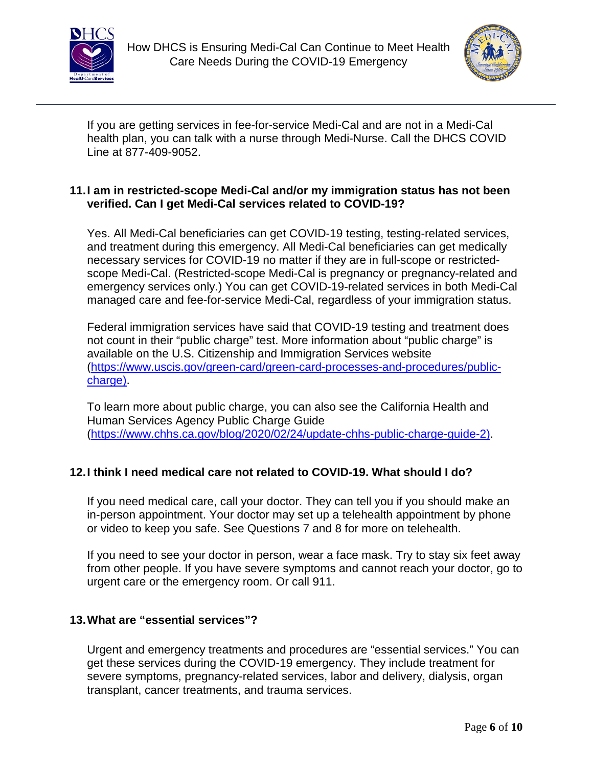



If you are getting services in fee-for-service Medi-Cal and are not in a Medi-Cal health plan, you can talk with a nurse through Medi-Nurse. Call the DHCS COVID Line at 877-409-9052.

#### **11.I am in restricted-scope Medi-Cal and/or my immigration status has not been verified. Can I get Medi-Cal services related to COVID-19?**

Yes. All Medi-Cal beneficiaries can get COVID-19 testing, testing-related services, and treatment during this emergency. All Medi-Cal beneficiaries can get medically necessary services for COVID-19 no matter if they are in full-scope or restrictedscope Medi-Cal. (Restricted-scope Medi-Cal is pregnancy or pregnancy-related and emergency services only.) You can get COVID-19-related services in both Medi-Cal managed care and fee-for-service Medi-Cal, regardless of your immigration status.

Federal immigration services have said that COVID-19 testing and treatment does not count in their "public charge" test. More information about "public charge" is available on the U.S. Citizenship and Immigration Services website [\(https://www.uscis.gov/green-card/green-card-processes-and-procedures/public](https://www.uscis.gov/green-card/green-card-processes-and-procedures/public-charge)charge).

To learn more about public charge, you can also see the California Health and Human Services Agency Public Charge Guide [\(https://www.chhs.ca.gov/blog/2020/02/24/update-chhs-public-charge-guide-2](https://www.chhs.ca.gov/blog/2020/02/24/update-chhs-public-charge-guide-2/)).

#### **12.I think I need medical care not related to COVID-19. What should I do?**

If you need medical care, call your doctor. They can tell you if you should make an in-person appointment. Your doctor may set up a telehealth appointment by phone or video to keep you safe. See Questions 7 and 8 for more on telehealth.

If you need to see your doctor in person, wear a face mask. Try to stay six feet away from other people. If you have severe symptoms and cannot reach your doctor, go to urgent care or the emergency room. Or call 911.

#### **13.What are "essential services"?**

Urgent and emergency treatments and procedures are "essential services." You can get these services during the COVID-19 emergency. They include treatment for severe symptoms, pregnancy-related services, labor and delivery, dialysis, organ transplant, cancer treatments, and trauma services.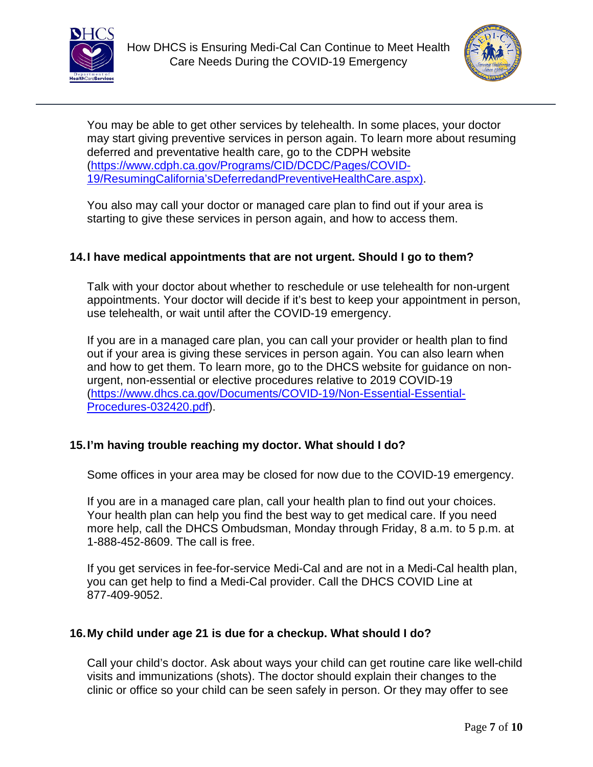



You may be able to get other services by telehealth. In some places, your doctor may start giving preventive services in person again. To learn more about resuming deferred and preventative health care, go to the CDPH website (https://www.cdph.ca.gov/Programs/CID/DCDC/Pages/COVID-[19/ResumingCalifornia'sDeferredandPreventiveHealthCare.aspx\).](https://www.cdph.ca.gov/Programs/CID/DCDC/Pages/COVID-19/ResumingCalifornia’sDeferredandPreventiveHealthCare.aspx) 

You also may call your doctor or managed care plan to find out if your area is starting to give these services in person again, and how to access them.

#### **14.I have medical appointments that are not urgent. Should I go to them?**

Talk with your doctor about whether to reschedule or use telehealth for non-urgent appointments. Your doctor will decide if it's best to keep your appointment in person, use telehealth, or wait until after the COVID-19 emergency.

If you are in a managed care plan, you can call your provider or health plan to find out if your area is giving these services in person again. You can also learn when and how to get them. To learn more, go to the DHCS website for guidance on nonurgent, non-essential or elective procedures relative to 2019 COVID-19 [\(https://www.dhcs.ca.gov/Documents/COVID-19/Non-Essential-Essential-](https://www.dhcs.ca.gov/Documents/COVID-19/Non-Essential-Essential-Procedures-032420.pdf)Procedures-032420.pdf).

#### **15.I'm having trouble reaching my doctor. What should I do?**

Some offices in your area may be closed for now due to the COVID-19 emergency.

If you are in a managed care plan, call your health plan to find out your choices. Your health plan can help you find the best way to get medical care. If you need more help, call the DHCS Ombudsman, Monday through Friday, 8 a.m. to 5 p.m. at 1-888-452-8609. The call is free.

If you get services in fee-for-service Medi-Cal and are not in a Medi-Cal health plan, you can get help to find a Medi-Cal provider. Call the DHCS COVID Line at 877-409-9052.

#### **16.My child under age 21 is due for a checkup. What should I do?**

Call your child's doctor. Ask about ways your child can get routine care like well-child visits and immunizations (shots). The doctor should explain their changes to the clinic or office so your child can be seen safely in person. Or they may offer to see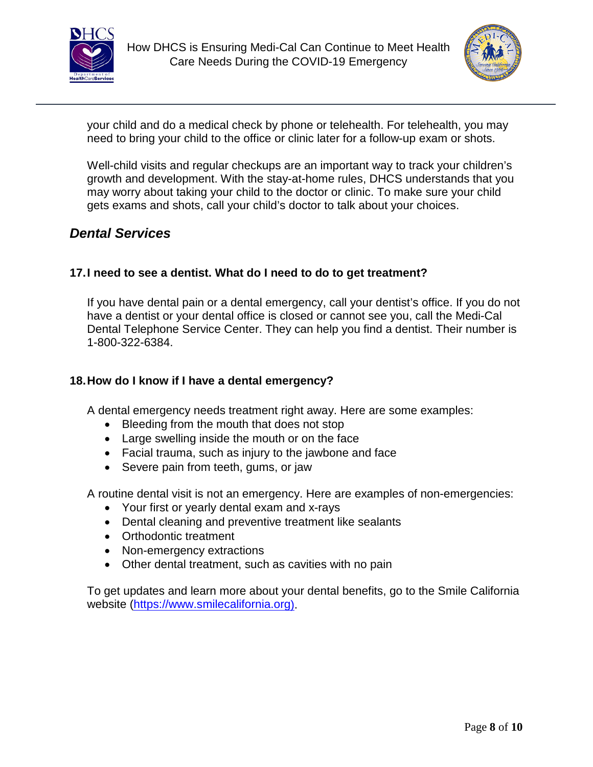



your child and do a medical check by phone or telehealth. For telehealth, you may need to bring your child to the office or clinic later for a follow-up exam or shots.

Well-child visits and regular checkups are an important way to track your children's growth and development. With the stay-at-home rules, DHCS understands that you may worry about taking your child to the doctor or clinic. To make sure your child gets exams and shots, call your child's doctor to talk about your choices.

### *Dental Services*

#### **17.I need to see a dentist. What do I need to do to get treatment?**

If you have dental pain or a dental emergency, call your dentist's office. If you do not have a dentist or your dental office is closed or cannot see you, call the Medi-Cal Dental Telephone Service Center. They can help you find a dentist. Their number is 1-800-322-6384.

#### **18.How do I know if I have a dental emergency?**

A dental emergency needs treatment right away. Here are some examples:

- Bleeding from the mouth that does not stop
- Large swelling inside the mouth or on the face
- Facial trauma, such as injury to the jawbone and face
- Severe pain from teeth, gums, or jaw

A routine dental visit is not an emergency. Here are examples of non-emergencies:

- Your first or yearly dental exam and x-rays
- Dental cleaning and preventive treatment like sealants
- Orthodontic treatment
- Non-emergency extractions
- Other dental treatment, such as cavities with no pain

To get updates and learn more about your dental benefits, go to the Smile California website [\(https://www.smilecalifornia.org\).](https://smilecalifornia.org/)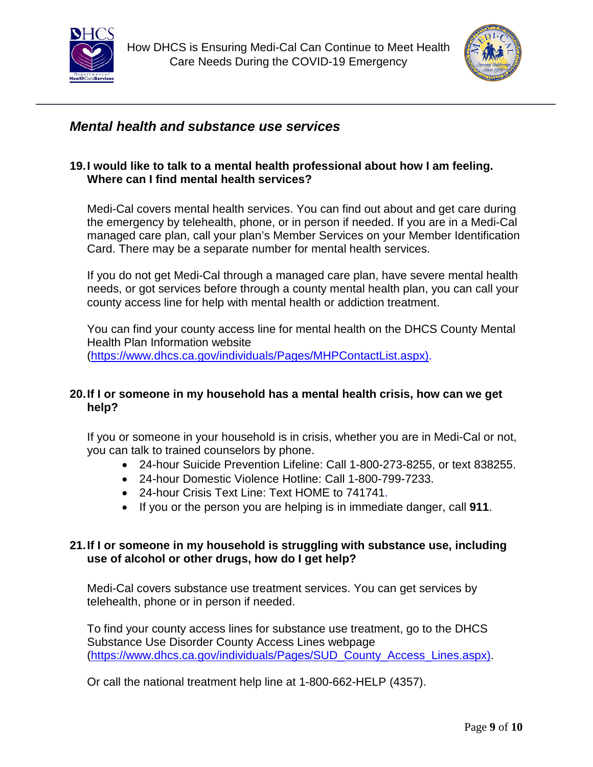



### *Mental health and substance use services*

#### **19.I would like to talk to a mental health professional about how I am feeling. Where can I find mental health services?**

Medi-Cal covers mental health services. You can find out about and get care during the emergency by telehealth, phone, or in person if needed. If you are in a Medi-Cal managed care plan, call your plan's Member Services on your Member Identification Card. There may be a separate number for mental health services.

If you do not get Medi-Cal through a managed care plan, have severe mental health needs, or got services before through a county mental health plan, you can call your county access line for help with mental health or addiction treatment.

You can find your county access line for mental health on the DHCS County Mental Health Plan Information website [\(https://www.dhcs.ca.gov/individuals/Pages/MHPContactList.aspx\).](https://www.dhcs.ca.gov/individuals/Pages/MHPContactList.aspx)

#### **20.If I or someone in my household has a mental health crisis, how can we get help?**

If you or someone in your household is in crisis, whether you are in Medi-Cal or not, you can talk to trained counselors by phone.

- 24-hour Suicide Prevention Lifeline: Call 1-800-273-8255, or text 838255.
- 24-hour Domestic Violence Hotline: Call 1-800-799-7233.
- 24-hour Crisis Text Line: Text HOME to 741741.
- If you or the person you are helping is in immediate danger, call **911**.

#### **21.If I or someone in my household is struggling with substance use, including use of alcohol or other drugs, how do I get help?**

Medi-Cal covers substance use treatment services. You can get services by telehealth, phone or in person if needed.

To find your county access lines for substance use treatment, go to the DHCS Substance Use Disorder County Access Lines webpage [\(https://www.dhcs.ca.gov/individuals/Pages/SUD\\_County\\_Access\\_Lines.aspx\).](https://www.dhcs.ca.gov/individuals/Pages/SUD_County_Access_Lines.aspx) 

Or call the national treatment help line at 1-800-662-HELP (4357).